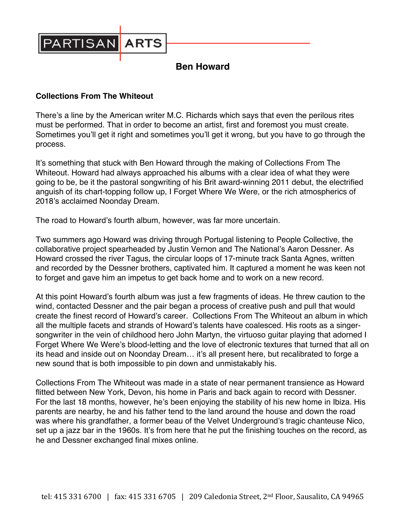

## **Ben Howard**

## **Collections From The Whiteout**

There's a line by the American writer M.C. Richards which says that even the perilous rites must be performed. That in order to become an artist, first and foremost you must create. Sometimes you'll get it right and sometimes you'll get it wrong, but you have to go through the process.

It's something that stuck with Ben Howard through the making of Collections From The Whiteout. Howard had always approached his albums with a clear idea of what they were going to be, be it the pastoral songwriting of his Brit award-winning 2011 debut, the electrified anguish of its chart-topping follow up, I Forget Where We Were, or the rich atmospherics of 2018's acclaimed Noonday Dream.

The road to Howard's fourth album, however, was far more uncertain.

Two summers ago Howard was driving through Portugal listening to People Collective, the collaborative project spearheaded by Justin Vernon and The National's Aaron Dessner. As Howard crossed the river Tagus, the circular loops of 17-minute track Santa Agnes, written and recorded by the Dessner brothers, captivated him. It captured a moment he was keen not to forget and gave him an impetus to get back home and to work on a new record.

At this point Howard's fourth album was just a few fragments of ideas. He threw caution to the wind, contacted Dessner and the pair began a process of creative push and pull that would create the finest record of Howard's career. Collections From The Whiteout an album in which all the multiple facets and strands of Howard's talents have coalesced. His roots as a singersongwriter in the vein of childhood hero John Martyn, the virtuoso guitar playing that adorned I Forget Where We Were's blood-letting and the love of electronic textures that turned that all on its head and inside out on Noonday Dream… it's all present here, but recalibrated to forge a new sound that is both impossible to pin down and unmistakably his.

Collections From The Whiteout was made in a state of near permanent transience as Howard flitted between New York, Devon, his home in Paris and back again to record with Dessner. For the last 18 months, however, he's been enjoying the stability of his new home in Ibiza. His parents are nearby, he and his father tend to the land around the house and down the road was where his grandfather, a former beau of the Velvet Underground's tragic chanteuse Nico, set up a jazz bar in the 1960s. It's from here that he put the finishing touches on the record, as he and Dessner exchanged final mixes online.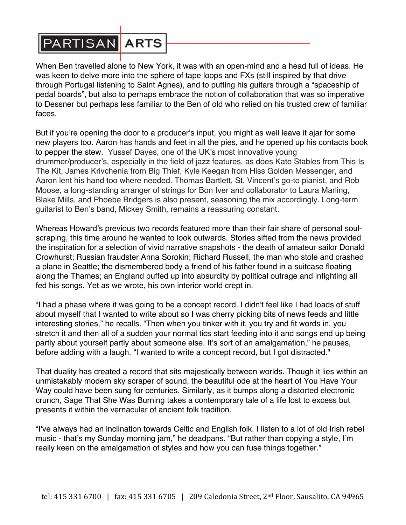

When Ben travelled alone to New York, it was with an open-mind and a head full of ideas. He was keen to delve more into the sphere of tape loops and FXs (still inspired by that drive through Portugal listening to Saint Agnes), and to putting his guitars through a "spaceship of pedal boards", but also to perhaps embrace the notion of collaboration that was so imperative to Dessner but perhaps less familiar to the Ben of old who relied on his trusted crew of familiar faces.

But if you're opening the door to a producer's input, you might as well leave it ajar for some new players too. Aaron has hands and feet in all the pies, and he opened up his contacts book to pepper the stew. Yussef Dayes, one of the UK's most innovative young drummer/producer's, especially in the field of jazz features, as does Kate Stables from This Is The Kit, James Krivchenia from Big Thief, Kyle Keegan from Hiss Golden Messenger, and Aaron lent his hand too where needed. Thomas Bartlett, St. Vincent's go-to pianist, and Rob Moose, a long-standing arranger of strings for Bon Iver and collaborator to Laura Marling, Blake Mills, and Phoebe Bridgers is also present, seasoning the mix accordingly. Long-term guitarist to Ben's band, Mickey Smith, remains a reassuring constant.

Whereas Howard's previous two records featured more than their fair share of personal soulscraping, this time around he wanted to look outwards. Stories sifted from the news provided the inspiration for a selection of vivid narrative snapshots - the death of amateur sailor Donald Crowhurst; Russian fraudster Anna Sorokin; Richard Russell, the man who stole and crashed a plane in Seattle; the dismembered body a friend of his father found in a suitcase floating along the Thames; an England puffed up into absurdity by political outrage and infighting all fed his songs. Yet as we wrote, his own interior world crept in.

"I had a phase where it was going to be a concept record. I didn't feel like I had loads of stuff about myself that I wanted to write about so I was cherry picking bits of news feeds and little interesting stories," he recalls. "Then when you tinker with it, you try and fit words in, you stretch it and then all of a sudden your normal tics start feeding into it and songs end up being partly about yourself partly about someone else. It's sort of an amalgamation," he pauses, before adding with a laugh. "I wanted to write a concept record, but I got distracted."

That duality has created a record that sits majestically between worlds. Though it lies within an unmistakably modern sky scraper of sound, the beautiful ode at the heart of You Have Your Way could have been sung for centuries. Similarly, as it bumps along a distorted electronic crunch, Sage That She Was Burning takes a contemporary tale of a life lost to excess but presents it within the vernacular of ancient folk tradition.

"I've always had an inclination towards Celtic and English folk. I listen to a lot of old Irish rebel music - that's my Sunday morning jam," he deadpans. "But rather than copying a style, I'm really keen on the amalgamation of styles and how you can fuse things together."